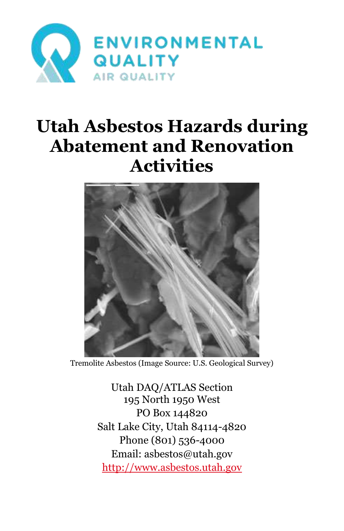

# **Utah Asbestos Hazards during Abatement and Renovation Activities**



Tremolite Asbestos (Image Source: U.S. Geological Survey)

Utah DAQ/ATLAS Section 195 North 1950 West PO Box 144820 Salt Lake City, Utah 84114-4820 Phone (801) 536-4000 Email: asbestos@utah.gov [http://www.asbestos.utah.gov](http://www.asbestos.utah.gov/)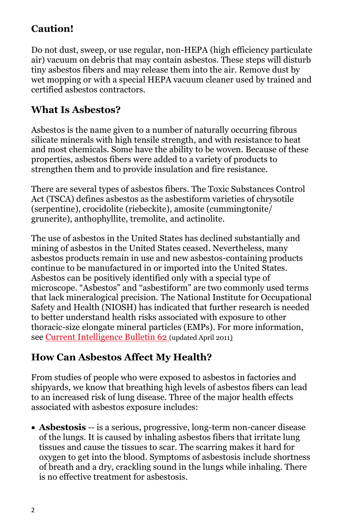### **Caution!**

Do not dust, sweep, or use regular, non-HEPA (high efficiency particulate air) vacuum on debris that may contain asbestos. These steps will disturb tiny asbestos fibers and may release them into the air. Remove dust by wet mopping or with a special HEPA vacuum cleaner used by trained and certified asbestos contractors.

### **What Is Asbestos?**

Asbestos is the name given to a number of naturally occurring fibrous silicate minerals with high tensile strength, and with resistance to heat and most chemicals. Some have the ability to be woven. Because of these properties, asbestos fibers were added to a variety of products to strengthen them and to provide insulation and fire resistance.

There are several types of asbestos fibers. The Toxic Substances Control Act (TSCA) defines asbestos as the asbestiform varieties of chrysotile (serpentine), crocidolite (riebeckite), amosite (cummingtonite/ grunerite), anthophyllite, tremolite, and actinolite.

The use of asbestos in the United States has declined substantially and mining of asbestos in the United States ceased. Nevertheless, many asbestos products remain in use and new asbestos-containing products continue to be manufactured in or imported into the United States. Asbestos can be positively identified only with a special type of microscope. "Asbestos" and "asbestiform" are two commonly used terms that lack mineralogical precision. The National Institute for Occupational Safety and Health (NIOSH) has indicated that further research is needed to better understand health risks associated with exposure to other thoracic-size elongate mineral particles (EMPs). For more information, see [Current Intelligence Bulletin 62](http://www.cdc.gov/niosh/docs/2011-159/pdfs/2011-159.pdf) (updated April 2011)

#### **How Can Asbestos Affect My Health?**

From studies of people who were exposed to asbestos in factories and shipyards, we know that breathing high levels of asbestos fibers can lead to an increased risk of lung disease. Three of the major health effects associated with asbestos exposure includes:

• **Asbestosis** -- is a serious, progressive, long-term non-cancer disease of the lungs. It is caused by inhaling asbestos fibers that irritate lung tissues and cause the tissues to scar. The scarring makes it hard for oxygen to get into the blood. Symptoms of asbestosis include shortness of breath and a dry, crackling sound in the lungs while inhaling. There is no effective treatment for asbestosis.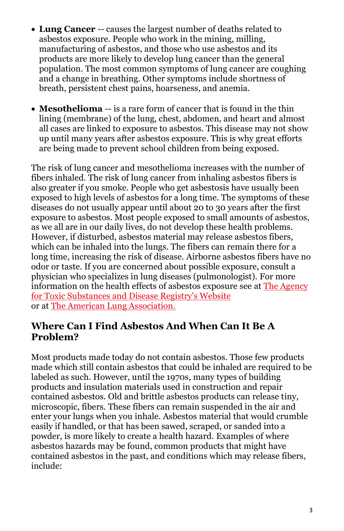- **Lung Cancer** -- causes the largest number of deaths related to asbestos exposure. People who work in the mining, milling, manufacturing of asbestos, and those who use asbestos and its products are more likely to develop lung cancer than the general population. The most common symptoms of lung cancer are coughing and a change in breathing. Other symptoms include shortness of breath, persistent chest pains, hoarseness, and anemia.
- **Mesothelioma** -- is a rare form of cancer that is found in the thin lining (membrane) of the lung, chest, abdomen, and heart and almost all cases are linked to exposure to asbestos. This disease may not show up until many years after asbestos exposure. This is why great efforts are being made to prevent school children from being exposed.

The risk of lung cancer and mesothelioma increases with the number of fibers inhaled. The risk of lung cancer from inhaling asbestos fibers is also greater if you smoke. People who get asbestosis have usually been exposed to high levels of asbestos for a long time. The symptoms of these diseases do not usually appear until about 20 to 30 years after the first exposure to asbestos. Most people exposed to small amounts of asbestos, as we all are in our daily lives, do not develop these health problems. However, if disturbed, asbestos material may release asbestos fibers, which can be inhaled into the lungs. The fibers can remain there for a long time, increasing the risk of disease. Airborne asbestos fibers have no odor or taste. If you are concerned about possible exposure, consult a physician who specializes in lung diseases (pulmonologist). For more information on the health effects of asbestos exposure see at [The Agency](https://www.atsdr.cdc.gov/asbestos/index.html)  [for Toxic Substances and Disease Registry's Website](https://www.atsdr.cdc.gov/asbestos/index.html) or at [The American Lung Association.](https://www.lung.org/)

#### **Where Can I Find Asbestos And When Can It Be A Problem?**

Most products made today do not contain asbestos. Those few products made which still contain asbestos that could be inhaled are required to be labeled as such. However, until the 1970s, many types of building products and insulation materials used in construction and repair contained asbestos. Old and brittle asbestos products can release tiny, microscopic, fibers. These fibers can remain suspended in the air and enter your lungs when you inhale. Asbestos material that would crumble easily if handled, or that has been sawed, scraped, or sanded into a powder, is more likely to create a health hazard. Examples of where asbestos hazards may be found, common products that might have contained asbestos in the past, and conditions which may release fibers, include: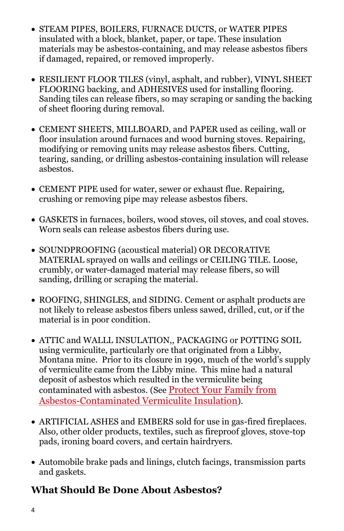- STEAM PIPES, BOILERS, FURNACE DUCTS, or WATER PIPES insulated with a block, blanket, paper, or tape. These insulation materials may be asbestos-containing, and may release asbestos fibers if damaged, repaired, or removed improperly.
- RESILIENT FLOOR TILES (vinyl, asphalt, and rubber), VINYL SHEET FLOORING backing, and ADHESIVES used for installing flooring. Sanding tiles can release fibers, so may scraping or sanding the backing of sheet flooring during removal.
- CEMENT SHEETS, MILLBOARD, and PAPER used as ceiling, wall or floor insulation around furnaces and wood burning stoves. Repairing, modifying or removing units may release asbestos fibers. Cutting, tearing, sanding, or drilling asbestos-containing insulation will release asbestos.
- CEMENT PIPE used for water, sewer or exhaust flue. Repairing, crushing or removing pipe may release asbestos fibers.
- GASKETS in furnaces, boilers, wood stoves, oil stoves, and coal stoves. Worn seals can release asbestos fibers during use.
- SOUNDPROOFING (acoustical material) OR DECORATIVE MATERIAL sprayed on walls and ceilings or CEILING TILE. Loose, crumbly, or water-damaged material may release fibers, so will sanding, drilling or scraping the material.
- ROOFING, SHINGLES, and SIDING. Cement or asphalt products are not likely to release asbestos fibers unless sawed, drilled, cut, or if the material is in poor condition.
- ATTIC and WALLL INSULATION,, PACKAGING or POTTING SOIL using vermiculite, particularly ore that originated from a Libby, Montana mine. Prior to its closure in 1990, much of the world's supply of vermiculite came from the Libby mine. This mine had a natural deposit of asbestos which resulted in the vermiculite being contaminated with asbestos. (See [Protect Your Family from](https://www.epa.gov/asbestos/protect-your-family-asbestos-contaminated-vermiculite-insulation)  [Asbestos-Contaminated Vermiculite Insulation](https://www.epa.gov/asbestos/protect-your-family-asbestos-contaminated-vermiculite-insulation)).
- ARTIFICIAL ASHES and EMBERS sold for use in gas-fired fireplaces. Also, other older products, textiles, such as fireproof gloves, stove-top pads, ironing board covers, and certain hairdryers.
- Automobile brake pads and linings, clutch facings, transmission parts and gaskets.

### **What Should Be Done About Asbestos?**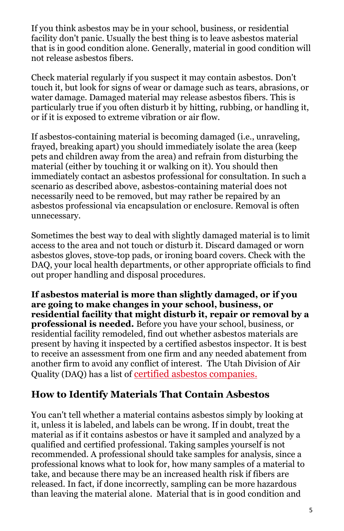If you think asbestos may be in your school, business, or residential facility don't panic. Usually the best thing is to leave asbestos material that is in good condition alone. Generally, material in good condition will not release asbestos fibers.

Check material regularly if you suspect it may contain asbestos. Don't touch it, but look for signs of wear or damage such as tears, abrasions, or water damage. Damaged material may release asbestos fibers. This is particularly true if you often disturb it by hitting, rubbing, or handling it, or if it is exposed to extreme vibration or air flow.

If asbestos-containing material is becoming damaged (i.e., unraveling, frayed, breaking apart) you should immediately isolate the area (keep pets and children away from the area) and refrain from disturbing the material (either by touching it or walking on it). You should then immediately contact an asbestos professional for consultation. In such a scenario as described above, asbestos-containing material does not necessarily need to be removed, but may rather be repaired by an asbestos professional via encapsulation or enclosure. Removal is often unnecessary.

Sometimes the best way to deal with slightly damaged material is to limit access to the area and not touch or disturb it. Discard damaged or worn asbestos gloves, stove-top pads, or ironing board covers. Check with the DAQ, your local health departments, or other appropriate officials to find out proper handling and disposal procedures.

**If asbestos material is more than slightly damaged, or if you are going to make changes in your school, business, or residential facility that might disturb it, repair or removal by a professional is needed.** Before you have your school, business, or residential facility remodeled, find out whether asbestos materials are present by having it inspected by a certified asbestos inspector. It is best to receive an assessment from one firm and any needed abatement from another firm to avoid any conflict of interest. The Utah Division of Air Quality (DAQ) has a list of [certified asbestos companies.](https://documents.deq.utah.gov/air-quality/compliance/atlas/DAQ-2017-002404.pdf)

#### **How to Identify Materials That Contain Asbestos**

You can't tell whether a material contains asbestos simply by looking at it, unless it is labeled, and labels can be wrong. If in doubt, treat the material as if it contains asbestos or have it sampled and analyzed by a qualified and certified professional. Taking samples yourself is not recommended. A professional should take samples for analysis, since a professional knows what to look for, how many samples of a material to take, and because there may be an increased health risk if fibers are released. In fact, if done incorrectly, sampling can be more hazardous than leaving the material alone. Material that is in good condition and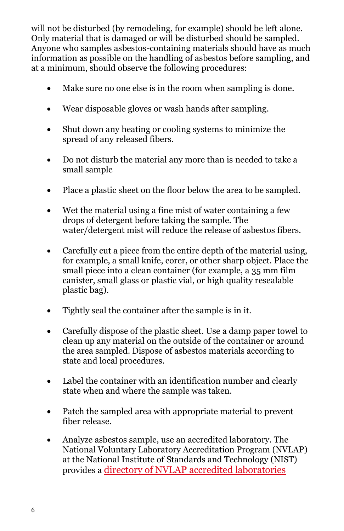will not be disturbed (by remodeling, for example) should be left alone. Only material that is damaged or will be disturbed should be sampled. Anyone who samples asbestos-containing materials should have as much information as possible on the handling of asbestos before sampling, and at a minimum, should observe the following procedures:

- Make sure no one else is in the room when sampling is done.
- Wear disposable gloves or wash hands after sampling.
- Shut down any heating or cooling systems to minimize the spread of any released fibers.
- Do not disturb the material any more than is needed to take a small sample
- Place a plastic sheet on the floor below the area to be sampled.
- Wet the material using a fine mist of water containing a few drops of detergent before taking the sample. The water/detergent mist will reduce the release of asbestos fibers.
- Carefully cut a piece from the entire depth of the material using, for example, a small knife, corer, or other sharp object. Place the small piece into a clean container (for example, a 35 mm film canister, small glass or plastic vial, or high quality resealable plastic bag).
- Tightly seal the container after the sample is in it.
- Carefully dispose of the plastic sheet. Use a damp paper towel to clean up any material on the outside of the container or around the area sampled. Dispose of asbestos materials according to state and local procedures.
- Label the container with an identification number and clearly state when and where the sample was taken.
- Patch the sampled area with appropriate material to prevent fiber release.
- Analyze asbestos sample, use an accredited laboratory. The National Voluntary Laboratory Accreditation Program (NVLAP) at the National Institute of Standards and Technology (NIST) provides a [directory of NVLAP accredited laboratories](https://www-s.nist.gov/niws/index.cfm?event=directory.search#no-back)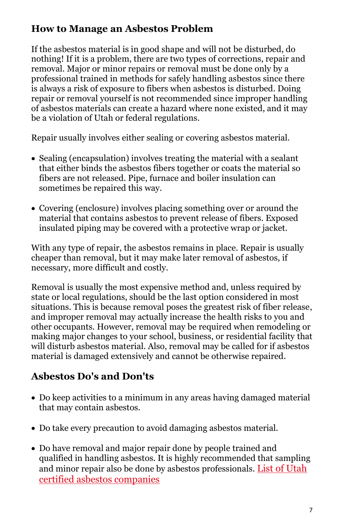### **How to Manage an Asbestos Problem**

If the asbestos material is in good shape and will not be disturbed, do nothing! If it is a problem, there are two types of corrections, repair and removal. Major or minor repairs or removal must be done only by a professional trained in methods for safely handling asbestos since there is always a risk of exposure to fibers when asbestos is disturbed. Doing repair or removal yourself is not recommended since improper handling of asbestos materials can create a hazard where none existed, and it may be a violation of Utah or federal regulations.

Repair usually involves either sealing or covering asbestos material.

- Sealing (encapsulation) involves treating the material with a sealant that either binds the asbestos fibers together or coats the material so fibers are not released. Pipe, furnace and boiler insulation can sometimes be repaired this way.
- Covering (enclosure) involves placing something over or around the material that contains asbestos to prevent release of fibers. Exposed insulated piping may be covered with a protective wrap or jacket.

With any type of repair, the asbestos remains in place. Repair is usually cheaper than removal, but it may make later removal of asbestos, if necessary, more difficult and costly.

Removal is usually the most expensive method and, unless required by state or local regulations, should be the last option considered in most situations. This is because removal poses the greatest risk of fiber release, and improper removal may actually increase the health risks to you and other occupants. However, removal may be required when remodeling or making major changes to your school, business, or residential facility that will disturb asbestos material. Also, removal may be called for if asbestos material is damaged extensively and cannot be otherwise repaired.

### **Asbestos Do's and Don'ts**

- Do keep activities to a minimum in any areas having damaged material that may contain asbestos.
- Do take every precaution to avoid damaging asbestos material.
- Do have removal and major repair done by people trained and qualified in handling asbestos. It is highly recommended that sampling and minor repair also be done by asbestos professionals. [List of Utah](https://documents.deq.utah.gov/air-quality/compliance/atlas/DAQ-2017-002404.pdf)  [certified asbestos companies](https://documents.deq.utah.gov/air-quality/compliance/atlas/DAQ-2017-002404.pdf)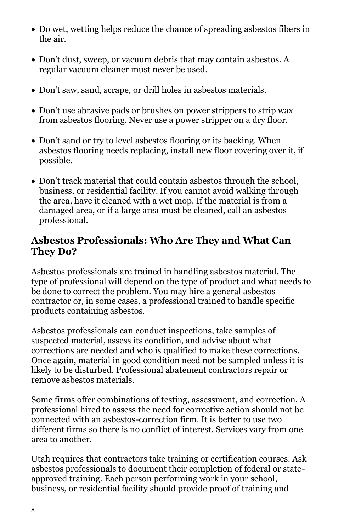- Do wet, wetting helps reduce the chance of spreading asbestos fibers in the air.
- Don't dust, sweep, or vacuum debris that may contain asbestos. A regular vacuum cleaner must never be used.
- Don't saw, sand, scrape, or drill holes in asbestos materials.
- Don't use abrasive pads or brushes on power strippers to strip wax from asbestos flooring. Never use a power stripper on a dry floor.
- Don't sand or try to level asbestos flooring or its backing. When asbestos flooring needs replacing, install new floor covering over it, if possible.
- Don't track material that could contain asbestos through the school, business, or residential facility. If you cannot avoid walking through the area, have it cleaned with a wet mop. If the material is from a damaged area, or if a large area must be cleaned, call an asbestos professional.

#### **Asbestos Professionals: Who Are They and What Can They Do?**

Asbestos professionals are trained in handling asbestos material. The type of professional will depend on the type of product and what needs to be done to correct the problem. You may hire a general asbestos contractor or, in some cases, a professional trained to handle specific products containing asbestos.

Asbestos professionals can conduct inspections, take samples of suspected material, assess its condition, and advise about what corrections are needed and who is qualified to make these corrections. Once again, material in good condition need not be sampled unless it is likely to be disturbed. Professional abatement contractors repair or remove asbestos materials.

Some firms offer combinations of testing, assessment, and correction. A professional hired to assess the need for corrective action should not be connected with an asbestos-correction firm. It is better to use two different firms so there is no conflict of interest. Services vary from one area to another.

Utah requires that contractors take training or certification courses. Ask asbestos professionals to document their completion of federal or stateapproved training. Each person performing work in your school, business, or residential facility should provide proof of training and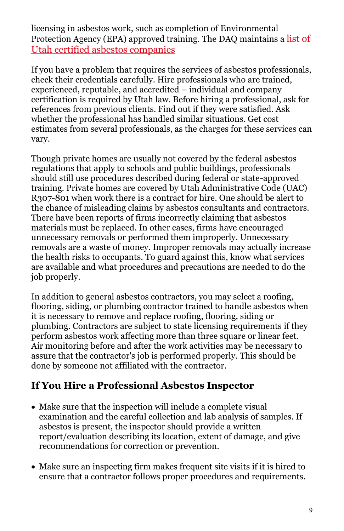licensing in asbestos work, such as completion of Environmental Protection Agency (EPA) approved training. The DAQ maintains a [list of](https://documents.deq.utah.gov/air-quality/compliance/atlas/DAQ-2017-002404.pdf)  [Utah certified asbestos companies](https://documents.deq.utah.gov/air-quality/compliance/atlas/DAQ-2017-002404.pdf) 

If you have a problem that requires the services of asbestos professionals, check their credentials carefully. Hire professionals who are trained, experienced, reputable, and accredited – individual and company certification is required by Utah law. Before hiring a professional, ask for references from previous clients. Find out if they were satisfied. Ask whether the professional has handled similar situations. Get cost estimates from several professionals, as the charges for these services can vary.

Though private homes are usually not covered by the federal asbestos regulations that apply to schools and public buildings, professionals should still use procedures described during federal or state-approved training. Private homes are covered by Utah Administrative Code (UAC) R307-801 when work there is a contract for hire. One should be alert to the chance of misleading claims by asbestos consultants and contractors. There have been reports of firms incorrectly claiming that asbestos materials must be replaced. In other cases, firms have encouraged unnecessary removals or performed them improperly. Unnecessary removals are a waste of money. Improper removals may actually increase the health risks to occupants. To guard against this, know what services are available and what procedures and precautions are needed to do the job properly.

In addition to general asbestos contractors, you may select a roofing, flooring, siding, or plumbing contractor trained to handle asbestos when it is necessary to remove and replace roofing, flooring, siding or plumbing. Contractors are subject to state licensing requirements if they perform asbestos work affecting more than three square or linear feet. Air monitoring before and after the work activities may be necessary to assure that the contractor's job is performed properly. This should be done by someone not affiliated with the contractor.

### **If You Hire a Professional Asbestos Inspector**

- Make sure that the inspection will include a complete visual examination and the careful collection and lab analysis of samples. If asbestos is present, the inspector should provide a written report/evaluation describing its location, extent of damage, and give recommendations for correction or prevention.
- Make sure an inspecting firm makes frequent site visits if it is hired to ensure that a contractor follows proper procedures and requirements.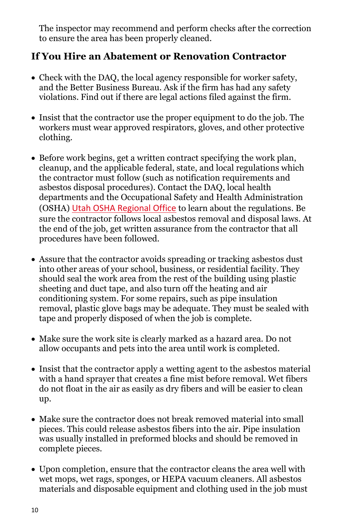The inspector may recommend and perform checks after the correction to ensure the area has been properly cleaned.

### **If You Hire an Abatement or Renovation Contractor**

- Check with the DAQ, the local agency responsible for worker safety, and the Better Business Bureau. Ask if the firm has had any safety violations. Find out if there are legal actions filed against the firm.
- Insist that the contractor use the proper equipment to do the job. The workers must wear approved respirators, gloves, and other protective clothing.
- Before work begins, get a written contract specifying the work plan, cleanup, and the applicable federal, state, and local regulations which the contractor must follow (such as notification requirements and asbestos disposal procedures). Contact the DAQ, local health departments and the Occupational Safety and Health Administration (OSHA) [Utah OSHA Regional Office](https://www.osha.gov/oshdir/ut.html) to learn about the regulations. Be sure the contractor follows local asbestos removal and disposal laws. At the end of the job, get written assurance from the contractor that all procedures have been followed.
- Assure that the contractor avoids spreading or tracking asbestos dust into other areas of your school, business, or residential facility. They should seal the work area from the rest of the building using plastic sheeting and duct tape, and also turn off the heating and air conditioning system. For some repairs, such as pipe insulation removal, plastic glove bags may be adequate. They must be sealed with tape and properly disposed of when the job is complete.
- Make sure the work site is clearly marked as a hazard area. Do not allow occupants and pets into the area until work is completed.
- Insist that the contractor apply a wetting agent to the asbestos material with a hand sprayer that creates a fine mist before removal. Wet fibers do not float in the air as easily as dry fibers and will be easier to clean up.
- Make sure the contractor does not break removed material into small pieces. This could release asbestos fibers into the air. Pipe insulation was usually installed in preformed blocks and should be removed in complete pieces.
- Upon completion, ensure that the contractor cleans the area well with wet mops, wet rags, sponges, or HEPA vacuum cleaners. All asbestos materials and disposable equipment and clothing used in the job must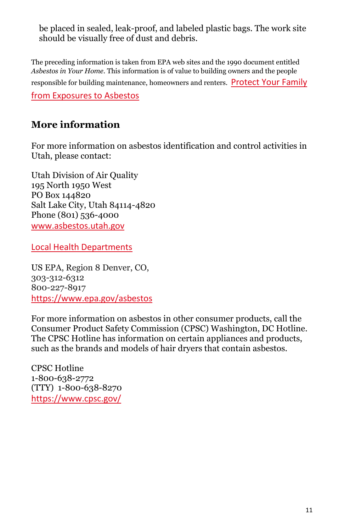be placed in sealed, leak-proof, and labeled plastic bags. The work site should be visually free of dust and debris.

The preceding information is taken from EPA web sites and the 1990 document entitled *Asbestos in Your Home.* This information is of value to building owners and the people responsible for building maintenance, homeowners and renters. Protect Your Family [from Exposures to Asbestos](https://www.epa.gov/asbestos/protect-your-family-exposures-asbestos)

### **More information**

For more information on asbestos identification and control activities in Utah, please contact:

Utah Division of Air Quality 195 North 1950 West PO Box 144820 Salt Lake City, Utah 84114-4820 Phone (801) 536-4000 [www.asbestos.utah.gov](https://deq.utah.gov/air-quality/atlas-air-toxics-lead-and-asbestos-section/asbestos-program)

[Local Health Departments](https://ualhd.org/)

US EPA, Region 8 Denver, CO, 303-312-6312 800-227-8917 <https://www.epa.gov/asbestos>

For more information on asbestos in other consumer products, call the Consumer Product Safety Commission (CPSC) Washington, DC Hotline. The CPSC Hotline has information on certain appliances and products, such as the brands and models of hair dryers that contain asbestos.

CPSC Hotline 1-800-638-2772 (TTY) 1-800-638-8270 <https://www.cpsc.gov/>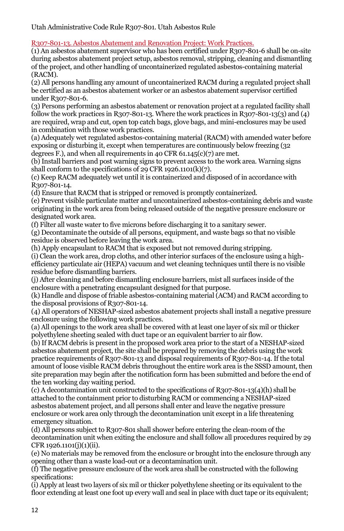#### Utah Administrative Code Rule R307-801. Utah Asbestos Rule

#### [R307-801-13. Asbestos Abatement and Renovation Project: Work Practices.](https://rules.utah.gov/publicat/code/r307/r307-801.htm#E13)

(1) An asbestos abatement supervisor who has been certified under R307-801-6 shall be on-site during asbestos abatement project setup, asbestos removal, stripping, cleaning and dismantling of the project, and other handling of uncontainerized regulated asbestos-containing material (RACM).

(2) All persons handling any amount of uncontainerized RACM during a regulated project shall be certified as an asbestos abatement worker or an asbestos abatement supervisor certified under R307-801-6.

(3) Persons performing an asbestos abatement or renovation project at a regulated facility shall follow the work practices in R307-801-13. Where the work practices in R307-801-13(3) and (4) are required, wrap and cut, open top catch bags, glove bags, and mini-enclosures may be used in combination with those work practices.

(a) Adequately wet regulated asbestos-containing material (RACM) with amended water before exposing or disturbing it, except when temperatures are continuously below freezing (32 degrees F.), and when all requirements in 40 CFR 61.145(c)(7) are met.

(b) Install barriers and post warning signs to prevent access to the work area. Warning signs shall conform to the specifications of 29 CFR 1926.1101(k)(7).

(c) Keep RACM adequately wet until it is containerized and disposed of in accordance with R307-801-14.

(d) Ensure that RACM that is stripped or removed is promptly containerized.

(e) Prevent visible particulate matter and uncontainerized asbestos-containing debris and waste originating in the work area from being released outside of the negative pressure enclosure or designated work area.

(f) Filter all waste water to five microns before discharging it to a sanitary sewer.

(g) Decontaminate the outside of all persons, equipment, and waste bags so that no visible residue is observed before leaving the work area.

(h) Apply encapsulant to RACM that is exposed but not removed during stripping.

(i) Clean the work area, drop cloths, and other interior surfaces of the enclosure using a highefficiency particulate air (HEPA) vacuum and wet cleaning techniques until there is no visible residue before dismantling barriers.

(j) After cleaning and before dismantling enclosure barriers, mist all surfaces inside of the enclosure with a penetrating encapsulant designed for that purpose.

(k) Handle and dispose of friable asbestos-containing material (ACM) and RACM according to the disposal provisions of R307-801-14.

(4) All operators of NESHAP-sized asbestos abatement projects shall install a negative pressure enclosure using the following work practices.

(a) All openings to the work area shall be covered with at least one layer of six mil or thicker polyethylene sheeting sealed with duct tape or an equivalent barrier to air flow.

(b) If RACM debris is present in the proposed work area prior to the start of a NESHAP-sized asbestos abatement project, the site shall be prepared by removing the debris using the work practice requirements of R307-801-13 and disposal requirements of R307-801-14. If the total amount of loose visible RACM debris throughout the entire work area is the SSSD amount, then site preparation may begin after the notification form has been submitted and before the end of the ten working day waiting period.

(c) A decontamination unit constructed to the specifications of R307-801-13(4)(h) shall be attached to the containment prior to disturbing RACM or commencing a NESHAP-sized asbestos abatement project, and all persons shall enter and leave the negative pressure enclosure or work area only through the decontamination unit except in a life threatening emergency situation.

(d) All persons subject to R307-801 shall shower before entering the clean-room of the decontamination unit when exiting the enclosure and shall follow all procedures required by 29 CFR 1926.1101(j)(1)(ii).

(e) No materials may be removed from the enclosure or brought into the enclosure through any opening other than a waste load-out or a decontamination unit.

(f) The negative pressure enclosure of the work area shall be constructed with the following specifications:

(i) Apply at least two layers of six mil or thicker polyethylene sheeting or its equivalent to the floor extending at least one foot up every wall and seal in place with duct tape or its equivalent;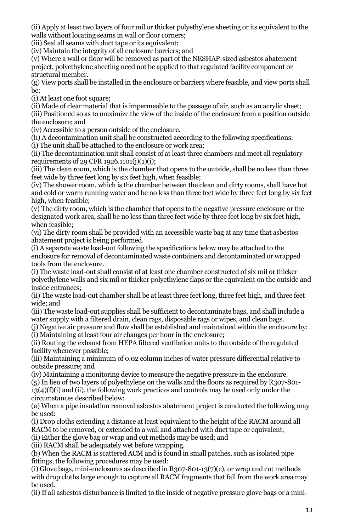(ii) Apply at least two layers of four mil or thicker polyethylene sheeting or its equivalent to the walls without locating seams in wall or floor corners;

(iii) Seal all seams with duct tape or its equivalent;

(iv) Maintain the integrity of all enclosure barriers; and

(v) Where a wall or floor will be removed as part of the NESHAP-sized asbestos abatement project, polyethylene sheeting need not be applied to that regulated facility component or structural member.

(g) View ports shall be installed in the enclosure or barriers where feasible, and view ports shall be:

(i) At least one foot square;

(ii) Made of clear material that is impermeable to the passage of air, such as an acrylic sheet;

(iii) Positioned so as to maximize the view of the inside of the enclosure from a position outside the enclosure; and

(iv) Accessible to a person outside of the enclosure.

(h) A decontamination unit shall be constructed according to the following specifications: (i) The unit shall be attached to the enclosure or work area;

(ii) The decontamination unit shall consist of at least three chambers and meet all regulatory requirements of 29 CFR 1926.1101(j)(1)(j);

(iii) The clean room, which is the chamber that opens to the outside, shall be no less than three feet wide by three feet long by six feet high, when feasible;

(iv) The shower room, which is the chamber between the clean and dirty rooms, shall have hot and cold or warm running water and be no less than three feet wide by three feet long by six feet high, when feasible;

(v) The dirty room, which is the chamber that opens to the negative pressure enclosure or the designated work area, shall be no less than three feet wide by three feet long by six feet high, when feasible;

(vi) The dirty room shall be provided with an accessible waste bag at any time that asbestos abatement project is being performed.

(i) A separate waste load-out following the specifications below may be attached to the enclosure for removal of decontaminated waste containers and decontaminated or wrapped tools from the enclosure.

(i) The waste load-out shall consist of at least one chamber constructed of six mil or thicker polyethylene walls and six mil or thicker polyethylene flaps or the equivalent on the outside and inside entrances;

(ii) The waste load-out chamber shall be at least three feet long, three feet high, and three feet wide; and

(iii) The waste load-out supplies shall be sufficient to decontaminate bags, and shall include a water supply with a filtered drain, clean rags, disposable rags or wipes, and clean bags.

(j) Negative air pressure and flow shall be established and maintained within the enclosure by: (i) Maintaining at least four air changes per hour in the enclosure;

(ii) Routing the exhaust from HEPA filtered ventilation units to the outside of the regulated facility whenever possible;

(iii) Maintaining a minimum of 0.02 column inches of water pressure differential relative to outside pressure; and

(iv) Maintaining a monitoring device to measure the negative pressure in the enclosure. (5) In lieu of two layers of polyethylene on the walls and the floors as required by R307-801-  $13(4)(f)(i)$  and (ii), the following work practices and controls may be used only under the circumstances described below:

(a) When a pipe insulation removal asbestos abatement project is conducted the following may be used:

(i) Drop cloths extending a distance at least equivalent to the height of the RACM around all RACM to be removed, or extended to a wall and attached with duct tape or equivalent;

(ii) Either the glove bag or wrap and cut methods may be used; and

(iii) RACM shall be adequately wet before wrapping.

(b) When the RACM is scattered ACM and is found in small patches, such as isolated pipe fittings, the following procedures may be used:

 $(i)$  Glove bags, mini-enclosures as described in R307-801-13(7)(c), or wrap and cut methods with drop cloths large enough to capture all RACM fragments that fall from the work area may be used.

(ii) If all asbestos disturbance is limited to the inside of negative pressure glove bags or a mini-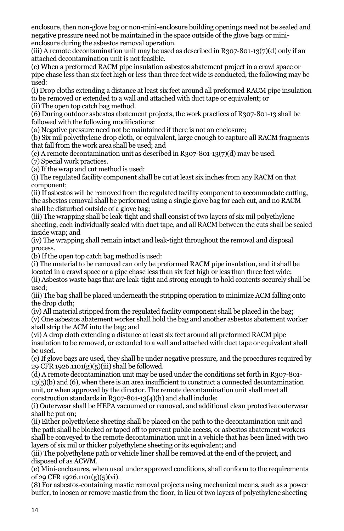enclosure, then non-glove bag or non-mini-enclosure building openings need not be sealed and negative pressure need not be maintained in the space outside of the glove bags or minienclosure during the asbestos removal operation.

(iii) A remote decontamination unit may be used as described in R307-801-13(7)(d) only if an attached decontamination unit is not feasible.

(c) When a preformed RACM pipe insulation asbestos abatement project in a crawl space or pipe chase less than six feet high or less than three feet wide is conducted, the following may be used:

(i) Drop cloths extending a distance at least six feet around all preformed RACM pipe insulation to be removed or extended to a wall and attached with duct tape or equivalent; or

(ii) The open top catch bag method.

(6) During outdoor asbestos abatement projects, the work practices of R307-801-13 shall be followed with the following modifications:

(a) Negative pressure need not be maintained if there is not an enclosure;

(b) Six mil polyethylene drop cloth, or equivalent, large enough to capture all RACM fragments that fall from the work area shall be used; and

(c) A remote decontamination unit as described in R307-801-13(7)(d) may be used.

(7) Special work practices.

(a) If the wrap and cut method is used:

(i) The regulated facility component shall be cut at least six inches from any RACM on that component;

(ii) If asbestos will be removed from the regulated facility component to accommodate cutting, the asbestos removal shall be performed using a single glove bag for each cut, and no RACM shall be disturbed outside of a glove bag;

(iii) The wrapping shall be leak-tight and shall consist of two layers of six mil polyethylene sheeting, each individually sealed with duct tape, and all RACM between the cuts shall be sealed inside wrap; and

(iv) The wrapping shall remain intact and leak-tight throughout the removal and disposal process.

(b) If the open top catch bag method is used:

(i) The material to be removed can only be preformed RACM pipe insulation, and it shall be located in a crawl space or a pipe chase less than six feet high or less than three feet wide;

(ii) Asbestos waste bags that are leak-tight and strong enough to hold contents securely shall be used;

(iii) The bag shall be placed underneath the stripping operation to minimize ACM falling onto the drop cloth;

(iv) All material stripped from the regulated facility component shall be placed in the bag;

(v) One asbestos abatement worker shall hold the bag and another asbestos abatement worker shall strip the ACM into the bag; and

(vi) A drop cloth extending a distance at least six feet around all preformed RACM pipe insulation to be removed, or extended to a wall and attached with duct tape or equivalent shall be used.

(c) If glove bags are used, they shall be under negative pressure, and the procedures required by 29 CFR 1926.1101(g)(5)(iii) shall be followed.

(d) A remote decontamination unit may be used under the conditions set forth in R307-801- 13(5)(b) and (6), when there is an area insufficient to construct a connected decontamination unit, or when approved by the director. The remote decontamination unit shall meet all construction standards in R307-801-13(4)(h) and shall include:

(i) Outerwear shall be HEPA vacuumed or removed, and additional clean protective outerwear shall be put on;

(ii) Either polyethylene sheeting shall be placed on the path to the decontamination unit and the path shall be blocked or taped off to prevent public access, or asbestos abatement workers shall be conveyed to the remote decontamination unit in a vehicle that has been lined with two layers of six mil or thicker polyethylene sheeting or its equivalent; and

(iii) The polyethylene path or vehicle liner shall be removed at the end of the project, and disposed of as ACWM.

(e) Mini-enclosures, when used under approved conditions, shall conform to the requirements of 29 CFR 1926.1101(g)(5)(vi).

(8) For asbestos-containing mastic removal projects using mechanical means, such as a power buffer, to loosen or remove mastic from the floor, in lieu of two layers of polyethylene sheeting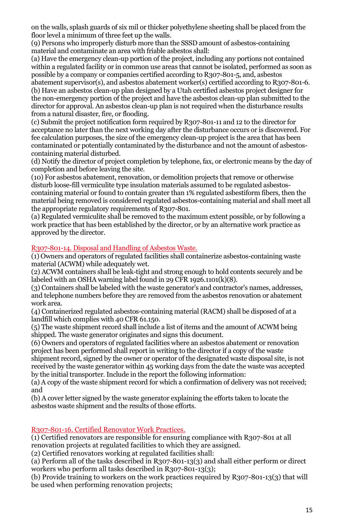on the walls, splash guards of six mil or thicker polyethylene sheeting shall be placed from the floor level a minimum of three feet up the walls.

(9) Persons who improperly disturb more than the SSSD amount of asbestos-containing material and contaminate an area with friable asbestos shall:

(a) Have the emergency clean-up portion of the project, including any portions not contained within a regulated facility or in common use areas that cannot be isolated, performed as soon as possible by a company or companies certified according to R307-801-5, and, asbestos abatement supervisor(s), and asbestos abatement worker(s) certified according to R307-801-6.

(b) Have an asbestos clean-up plan designed by a Utah certified asbestos project designer for the non-emergency portion of the project and have the asbestos clean-up plan submitted to the director for approval. An asbestos clean-up plan is not required when the disturbance results from a natural disaster, fire, or flooding.

(c) Submit the project notification form required by R307-801-11 and 12 to the director for acceptance no later than the next working day after the disturbance occurs or is discovered. For fee calculation purposes, the size of the emergency clean-up project is the area that has been contaminated or potentially contaminated by the disturbance and not the amount of asbestoscontaining material disturbed.

(d) Notify the director of project completion by telephone, fax, or electronic means by the day of completion and before leaving the site.

(10) For asbestos abatement, renovation, or demolition projects that remove or otherwise disturb loose-fill vermiculite type insulation materials assumed to be regulated asbestoscontaining material or found to contain greater than 1% regulated asbestiform fibers, then the material being removed is considered regulated asbestos-containing material and shall meet all the appropriate regulatory requirements of R307-801.

(a) Regulated vermiculite shall be removed to the maximum extent possible, or by following a work practice that has been established by the director, or by an alternative work practice as approved by the director.

#### R307-801-14. [Disposal and Handling of Asbestos Waste.](https://rules.utah.gov/publicat/code/r307/r307-801.htm#E14)

(1) Owners and operators of regulated facilities shall containerize asbestos-containing waste material (ACWM) while adequately wet.

(2) ACWM containers shall be leak-tight and strong enough to hold contents securely and be labeled with an OSHA warning label found in 29 CFR 1926.1101(k)(8).

(3) Containers shall be labeled with the waste generator's and contractor's names, addresses, and telephone numbers before they are removed from the asbestos renovation or abatement work area.

(4) Containerized regulated asbestos-containing material (RACM) shall be disposed of at a landfill which complies with 40 CFR 61.150.

(5) The waste shipment record shall include a list of items and the amount of ACWM being shipped. The waste generator originates and signs this document.

(6) Owners and operators of regulated facilities where an asbestos abatement or renovation project has been performed shall report in writing to the director if a copy of the waste

shipment record, signed by the owner or operator of the designated waste disposal site, is not received by the waste generator within 45 working days from the date the waste was accepted by the initial transporter. Include in the report the following information:

(a) A copy of the waste shipment record for which a confirmation of delivery was not received; and

(b) A cover letter signed by the waste generator explaining the efforts taken to locate the asbestos waste shipment and the results of those efforts.

#### [R307-801-16. Certified Renovator Work Practices.](https://rules.utah.gov/publicat/code/r307/r307-801.htm#E16)

(1) Certified renovators are responsible for ensuring compliance with R307-801 at all renovation projects at regulated facilities to which they are assigned.

(2) Certified renovators working at regulated facilities shall:

(a) Perform all of the tasks described in R307-801-13(3) and shall either perform or direct workers who perform all tasks described in R307-801-13(3);

(b) Provide training to workers on the work practices required by R307-801-13(3) that will be used when performing renovation projects;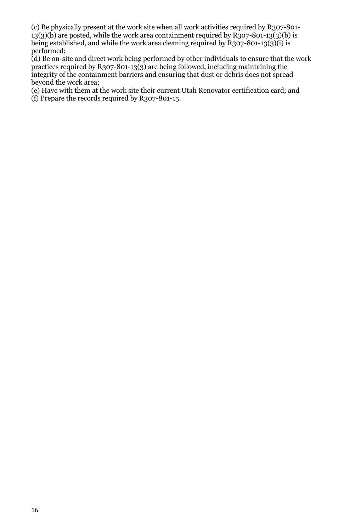(c) Be physically present at the work site when all work activities required by R307-801-  $13(3)(b)$  are posted, while the work area containment required by  $R_3^2O7-8O1-13(3)(b)$  is being established, and while the work area cleaning required by R307-801-13(3)(i) is performed;

(d) Be on-site and direct work being performed by other individuals to ensure that the work practices required by R307-801-13(3) are being followed, including maintaining the integrity of the containment barriers and ensuring that dust or debris does not spread beyond the work area;

(e) Have with them at the work site their current Utah Renovator certification card; and

(f) Prepare the records required by R307-801-15.